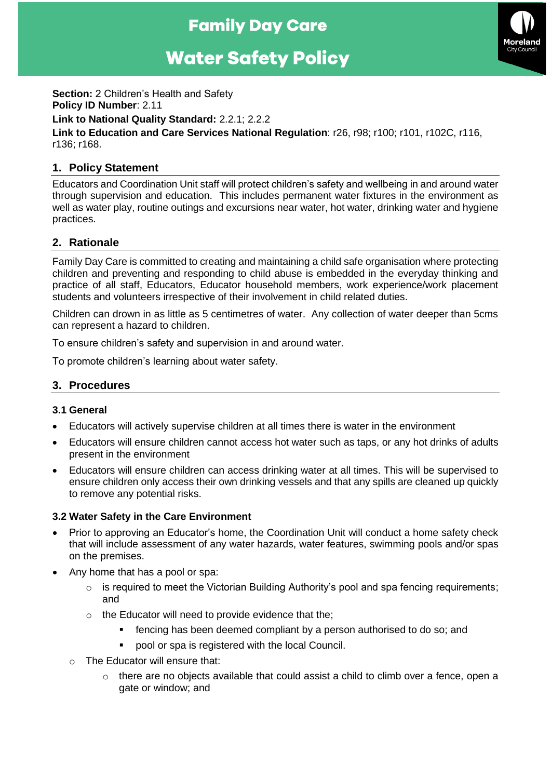## **Family Day Care**

# **Water Safety Policy**



**Section:** 2 Children's Health and Safety **Policy ID Number**: 2.11 **Link to National Quality Standard:** 2.2.1; 2.2.2 **Link to Education and Care Services National Regulation**: r26, r98; r100; r101, r102C, r116, r136; r168.

## **1. Policy Statement**

Educators and Coordination Unit staff will protect children's safety and wellbeing in and around water through supervision and education. This includes permanent water fixtures in the environment as well as water play, routine outings and excursions near water, hot water, drinking water and hygiene practices.

## **2. Rationale**

Family Day Care is committed to creating and maintaining a child safe organisation where protecting children and preventing and responding to child abuse is embedded in the everyday thinking and practice of all staff, Educators, Educator household members, work experience/work placement students and volunteers irrespective of their involvement in child related duties.

Children can drown in as little as 5 centimetres of water. Any collection of water deeper than 5cms can represent a hazard to children.

To ensure children's safety and supervision in and around water.

To promote children's learning about water safety.

## **3. Procedures**

#### **3.1 General**

- Educators will actively supervise children at all times there is water in the environment
- Educators will ensure children cannot access hot water such as taps, or any hot drinks of adults present in the environment
- Educators will ensure children can access drinking water at all times. This will be supervised to ensure children only access their own drinking vessels and that any spills are cleaned up quickly to remove any potential risks.

#### **3.2 Water Safety in the Care Environment**

- Prior to approving an Educator's home, the Coordination Unit will conduct a home safety check that will include assessment of any water hazards, water features, swimming pools and/or spas on the premises.
- Any home that has a pool or spa:
	- o is required to meet the Victorian Building Authority's pool and spa fencing requirements; and
	- o the Educator will need to provide evidence that the;
		- fencing has been deemed compliant by a person authorised to do so; and
		- pool or spa is registered with the local Council.
	- o The Educator will ensure that:
		- $\circ$  there are no objects available that could assist a child to climb over a fence, open a gate or window; and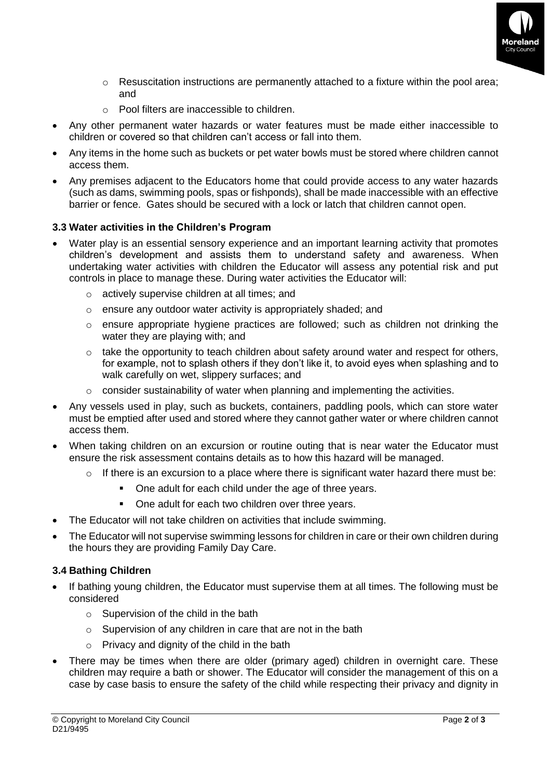

- o Resuscitation instructions are permanently attached to a fixture within the pool area; and
- o Pool filters are inaccessible to children.
- Any other permanent water hazards or water features must be made either inaccessible to children or covered so that children can't access or fall into them.
- Any items in the home such as buckets or pet water bowls must be stored where children cannot access them.
- Any premises adjacent to the Educators home that could provide access to any water hazards (such as dams, swimming pools, spas or fishponds), shall be made inaccessible with an effective barrier or fence. Gates should be secured with a lock or latch that children cannot open.

#### **3.3 Water activities in the Children's Program**

- Water play is an essential sensory experience and an important learning activity that promotes children's development and assists them to understand safety and awareness. When undertaking water activities with children the Educator will assess any potential risk and put controls in place to manage these. During water activities the Educator will:
	- o actively supervise children at all times; and
	- o ensure any outdoor water activity is appropriately shaded; and
	- $\circ$  ensure appropriate hygiene practices are followed; such as children not drinking the water they are playing with; and
	- $\circ$  take the opportunity to teach children about safety around water and respect for others, for example, not to splash others if they don't like it, to avoid eyes when splashing and to walk carefully on wet, slippery surfaces; and
	- o consider sustainability of water when planning and implementing the activities.
- Any vessels used in play, such as buckets, containers, paddling pools, which can store water must be emptied after used and stored where they cannot gather water or where children cannot access them.
- When taking children on an excursion or routine outing that is near water the Educator must ensure the risk assessment contains details as to how this hazard will be managed.
	- $\circ$  If there is an excursion to a place where there is significant water hazard there must be:
		- One adult for each child under the age of three years.
		- One adult for each two children over three years.
- The Educator will not take children on activities that include swimming.
- The Educator will not supervise swimming lessons for children in care or their own children during the hours they are providing Family Day Care.

#### **3.4 Bathing Children**

- If bathing young children, the Educator must supervise them at all times. The following must be considered
	- o Supervision of the child in the bath
	- $\circ$  Supervision of any children in care that are not in the bath
	- $\circ$  Privacy and dignity of the child in the bath
- There may be times when there are older (primary aged) children in overnight care. These children may require a bath or shower. The Educator will consider the management of this on a case by case basis to ensure the safety of the child while respecting their privacy and dignity in